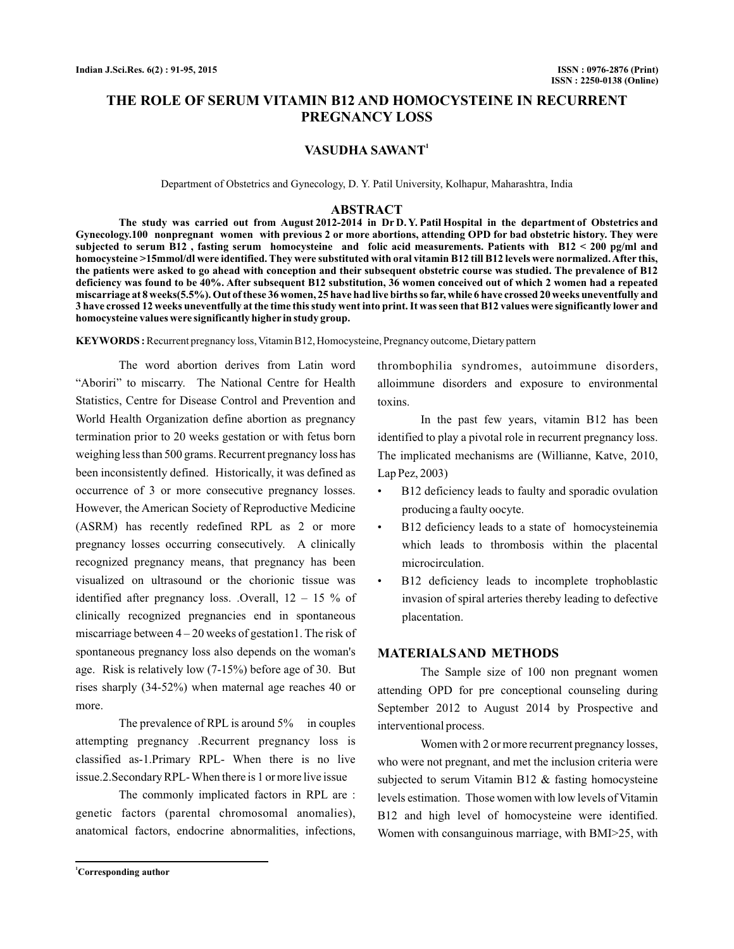# **THE ROLE OF SERUM VITAMIN B12 AND HOMOCYSTEINE IN RECURRENT PREGNANCY LOSS**

### **VASUDHA SAWANT<sup>1</sup>**

Department of Obstetrics and Gynecology, D. Y. Patil University, Kolhapur, Maharashtra, India

#### **ABSTRACT**

**The study was carried out from August 2012-2014 in Dr D. Y. Patil Hospital in the department of Obstetrics and Gynecology.100 nonpregnant women with previous 2 or more abortions, attending OPD for bad obstetric history. They were subjected to serum B12 , fasting serum homocysteine and folic acid measurements. Patients with B12 < 200 pg/ml and homocysteine >15mmol/dl were identified. They were substituted with oral vitamin B12 till B12 levels were normalized.After this, the patients were asked to go ahead with conception and their subsequent obstetric course was studied. The prevalence of B12 deficiency was found to be 40%. After subsequent B12 substitution, 36 women conceived out of which 2 women had a repeated miscarriage at 8 weeks(5.5%). Out of these 36 women, 25 have had live births so far, while 6 have crossed 20 weeks uneventfully and 3 have crossed 12 weeks uneventfully at the time this study went into print. It was seen that B12 values were significantly lower and homocysteine values were significantly higher in study group.**

**KEYWORDS :** Recurrent pregnancy loss, Vitamin B12, Homocysteine, Pregnancy outcome, Dietary pattern

The word abortion derives from Latin word "Aboriri" to miscarry. The National Centre for Health Statistics, Centre for Disease Control and Prevention and World Health Organization define abortion as pregnancy termination prior to 20 weeks gestation or with fetus born weighing less than 500 grams. Recurrent pregnancy loss has been inconsistently defined. Historically, it was defined as occurrence of 3 or more consecutive pregnancy losses. However, the American Society of Reproductive Medicine (ASRM) has recently redefined RPL as 2 or more pregnancy losses occurring consecutively. A clinically recognized pregnancy means, that pregnancy has been visualized on ultrasound or the chorionic tissue was identified after pregnancy loss. .Overall,  $12 - 15$  % of clinically recognized pregnancies end in spontaneous miscarriage between  $4 - 20$  weeks of gestation1. The risk of spontaneous pregnancy loss also depends on the woman's age. Risk is relatively low (7-15%) before age of 30. But rises sharply (34-52%) when maternal age reaches 40 or more.

The prevalence of RPL is around 5% in couples attempting pregnancy .Recurrent pregnancy loss is classified as-1.Primary RPL- When there is no live issue.2.Secondary RPL-When there is 1 or more live issue

The commonly implicated factors in RPL are : genetic factors (parental chromosomal anomalies), anatomical factors, endocrine abnormalities, infections,

thrombophilia syndromes, autoimmune disorders, alloimmune disorders and exposure to environmental toxins.

In the past few years, vitamin B12 has been identified to play a pivotal role in recurrent pregnancy loss. The implicated mechanisms are (Willianne, Katve, 2010, Lap Pez, 2003)

- B12 deficiency leads to faulty and sporadic ovulation producing a faulty oocyte.
- B12 deficiency leads to a state of homocysteinemia which leads to thrombosis within the placental microcirculation. •
- B12 deficiency leads to incomplete trophoblastic invasion of spiral arteries thereby leading to defective placentation. •

### **MATERIALSAND METHODS**

The Sample size of 100 non pregnant women attending OPD for pre conceptional counseling during September 2012 to August 2014 by Prospective and interventional process.

Women with 2 or more recurrent pregnancy losses, who were not pregnant, and met the inclusion criteria were subjected to serum Vitamin B12 & fasting homocysteine levels estimation. Those women with low levels of Vitamin B12 and high level of homocysteine were identified. Women with consanguinous marriage, with BMI>25, with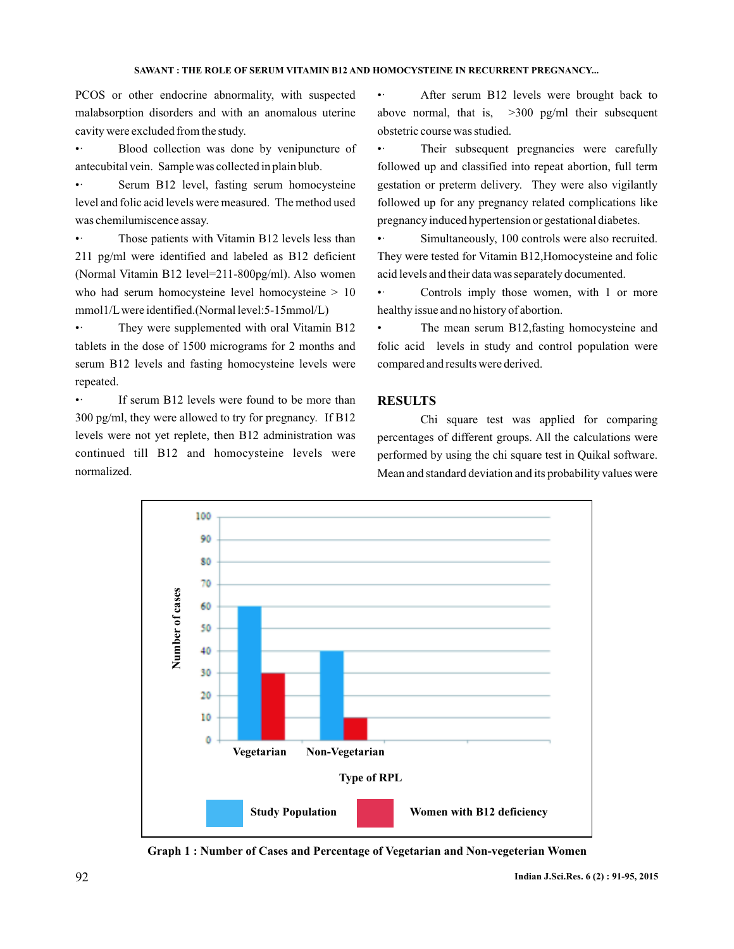PCOS or other endocrine abnormality, with suspected malabsorption disorders and with an anomalous uterine cavity were excluded from the study.

Blood collection was done by venipuncture of antecubital vein. Sample was collected in plain blub. •

Serum B12 level, fasting serum homocysteine level and folic acid levels were measured. The method used was chemilumiscence assay. •

Those patients with Vitamin B12 levels less than 211 pg/ml were identified and labeled as B12 deficient (Normal Vitamin B12 level=211-800pg/ml). Also women who had serum homocysteine level homocysteine  $> 10$ mmol1/Lwere identified.(Normal level:5-15mmol/L)  $\bullet$  .

They were supplemented with oral Vitamin B12 tablets in the dose of 1500 micrograms for 2 months and serum B12 levels and fasting homocysteine levels were repeated. •

If serum B12 levels were found to be more than 300 pg/ml, they were allowed to try for pregnancy. If B12 levels were not yet replete, then B12 administration was continued till B12 and homocysteine levels were normalized. •

• After serum B12 levels were brought back to above normal, that is,  $>300$  pg/ml their subsequent obstetric course was studied.

• Their subsequent pregnancies were carefully followed up and classified into repeat abortion, full term gestation or preterm delivery. They were also vigilantly followed up for any pregnancy related complications like pregnancy induced hypertension or gestational diabetes.

 $\bullet$  . Simultaneously, 100 controls were also recruited. They were tested for Vitamin B12,Homocysteine and folic acid levels and their data was separately documented.

 $\bullet$   $\cdot$ Controls imply those women, with 1 or more healthy issue and no history of abortion.

• The mean serum B12,fasting homocysteine and folic acid levels in study and control population were compared and results were derived.

# **RESULTS**

Chi square test was applied for comparing percentages of different groups. All the calculations were performed by using the chi square test in Quikal software. Mean and standard deviation and its probability values were



**Graph 1 : Number of Cases and Percentage of Vegetarian and Non-vegeterian Women**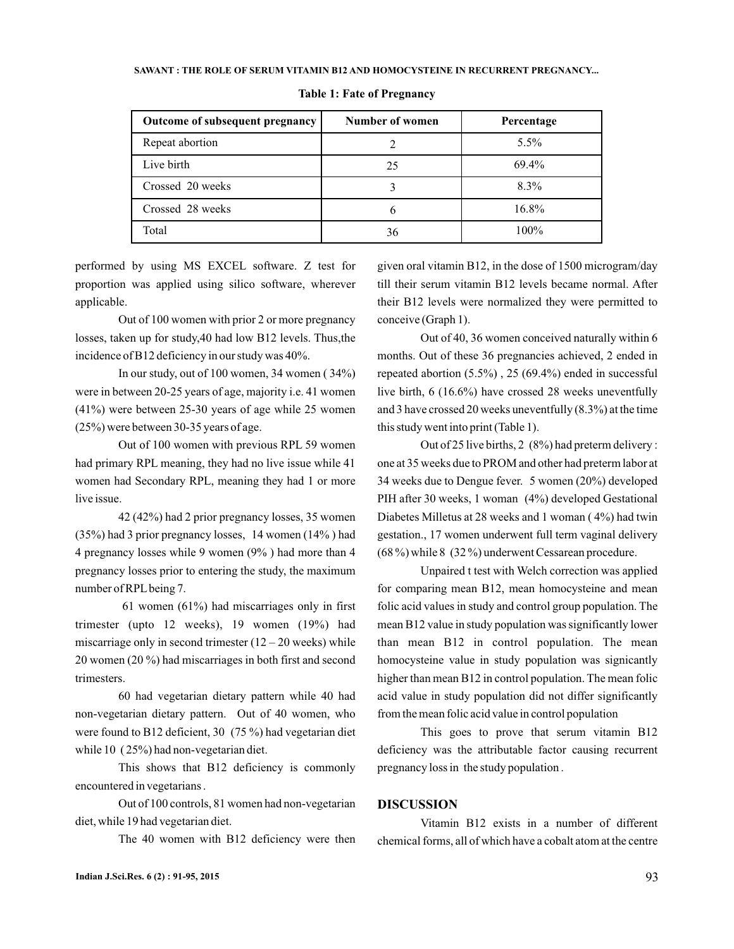#### SAWANT : THE ROLE OF SERUM VITAMIN B12 AND HOMOCYSTEINE IN RECURRENT PREGNANCY...

| Outcome of subsequent pregnancy | Number of women | Percentage |
|---------------------------------|-----------------|------------|
| Repeat abortion                 |                 | $5.5\%$    |
| Live birth                      | 25              | 69.4%      |
| Crossed 20 weeks                |                 | $8.3\%$    |
| Crossed 28 weeks                |                 | $16.8\%$   |
| Total                           | 36              | $100\%$    |

#### **Table 1: Fate of Pregnancy**

performed by using MS EXCEL software. Z test for proportion was applied using silico software, wherever applicable.

Out of 100 women with prior 2 or more pregnancy losses, taken up for study,40 had low B12 levels. Thus,the incidence of B12 deficiency in our study was 40%.

In our study, out of 100 women, 34 women ( 34%) were in between 20-25 years of age, majority i.e. 41 women (41%) were between 25-30 years of age while 25 women (25%) were between 30-35 years of age.

Out of 100 women with previous RPL 59 women had primary RPL meaning, they had no live issue while 41 women had Secondary RPL, meaning they had 1 or more live issue.

42 (42%) had 2 prior pregnancy losses, 35 women (35%) had 3 prior pregnancy losses, 14 women (14% ) had 4 pregnancy losses while 9 women (9% ) had more than 4 pregnancy losses prior to entering the study, the maximum number of RPL being 7.

61 women (61%) had miscarriages only in first trimester (upto 12 weeks), 19 women (19%) had miscarriage only in second trimester  $(12 – 20$  weeks) while 20 women (20 %) had miscarriages in both first and second trimesters.

60 had vegetarian dietary pattern while 40 had non-vegetarian dietary pattern. Out of 40 women, who were found to B12 deficient, 30 (75 %) had vegetarian diet while 10 ( 25%) had non-vegetarian diet.

This shows that B12 deficiency is commonly encountered in vegetarians .

Out of 100 controls, 81 women had non-vegetarian diet, while 19 had vegetarian diet.

The 40 women with B12 deficiency were then

given oral vitamin B12, in the dose of 1500 microgram/day till their serum vitamin B12 levels became normal. After their B12 levels were normalized they were permitted to conceive (Graph 1).

Out of 40, 36 women conceived naturally within 6 months. Out of these 36 pregnancies achieved, 2 ended in repeated abortion (5.5%) , 25 (69.4%) ended in successful live birth, 6 (16.6%) have crossed 28 weeks uneventfully and 3 have crossed 20 weeks uneventfully (8.3%) at the time this study went into print (Table 1).

Out of 25 live births, 2 (8%) had preterm delivery : one at 35 weeks due to PROM and other had preterm labor at 34 weeks due to Dengue fever. 5 women (20%) developed PIH after 30 weeks, 1 woman (4%) developed Gestational Diabetes Milletus at 28 weeks and 1 woman ( 4%) had twin gestation., 17 women underwent full term vaginal delivery (68 %) while 8 (32 %) underwent Cessarean procedure.

Unpaired t test with Welch correction was applied for comparing mean B12, mean homocysteine and mean folic acid values in study and control group population. The mean B12 value in study population was significantly lower than mean B12 in control population. The mean homocysteine value in study population was signicantly higher than mean B12 in control population. The mean folic acid value in study population did not differ significantly from the mean folic acid value in control population

This goes to prove that serum vitamin B12 deficiency was the attributable factor causing recurrent pregnancy loss in the study population .

### **DISCUSSION**

Vitamin B12 exists in a number of different chemical forms, all of which have a cobalt atom at the centre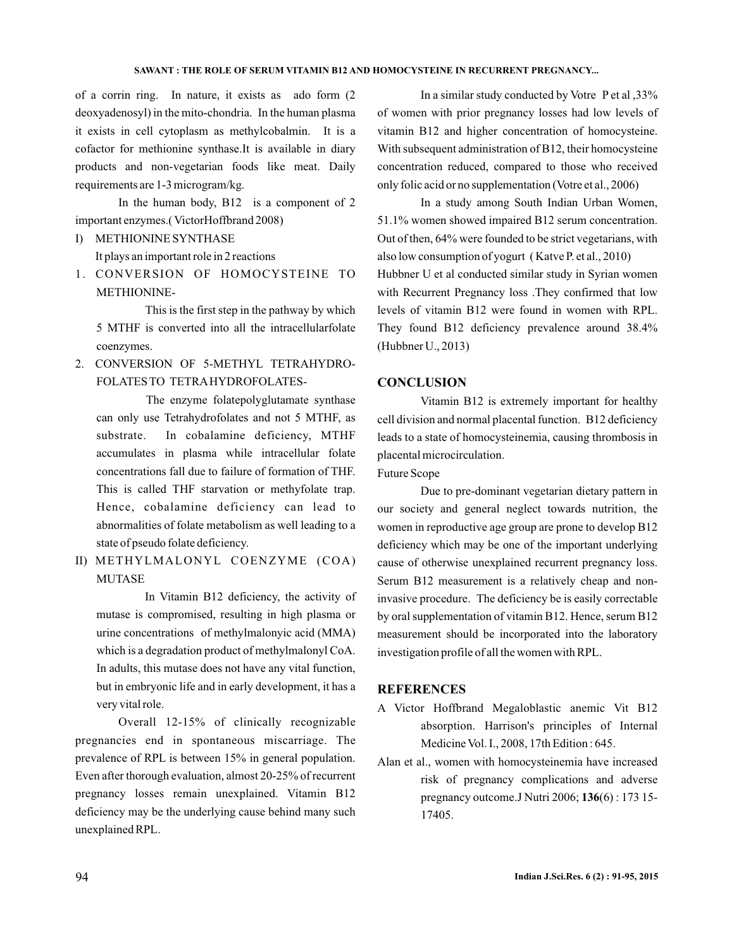#### SAWANT : THE ROLE OF SERUM VITAMIN B12 AND HOMOCYSTEINE IN RECURRENT PREGNANCY...

of a corrin ring. In nature, it exists as ado form (2 deoxyadenosyl) in the mito-chondria. In the human plasma it exists in cell cytoplasm as methylcobalmin. It is a cofactor for methionine synthase.It is available in diary products and non-vegetarian foods like meat. Daily requirements are 1-3 microgram/kg.

In the human body, B12 is a component of 2 important enzymes.( VictorHoffbrand 2008)

# I) METHIONINE SYNTHASE

It plays an important role in 2 reactions

1. CONVERSION OF HOMOCYSTEINE TO METHIONINE-

This is the first step in the pathway by which 5 MTHF is converted into all the intracellularfolate coenzymes.

2. CONVERSION OF 5-METHYL TETRAHYDRO-FOLATES TO TETRAHYDROFOLATES-

The enzyme folatepolyglutamate synthase can only use Tetrahydrofolates and not 5 MTHF, as substrate. In cobalamine deficiency, MTHF accumulates in plasma while intracellular folate concentrations fall due to failure of formation of THF. This is called THF starvation or methyfolate trap. Hence, cobalamine deficiency can lead to abnormalities of folate metabolism as well leading to a state of pseudo folate deficiency.

II) METHYLMALONYL COENZYME (COA) MUTASE

In Vitamin B12 deficiency, the activity of mutase is compromised, resulting in high plasma or urine concentrations of methylmalonyic acid (MMA) which is a degradation product of methylmalonyl CoA. In adults, this mutase does not have any vital function, but in embryonic life and in early development, it has a very vital role.

Overall 12-15% of clinically recognizable pregnancies end in spontaneous miscarriage. The prevalence of RPL is between 15% in general population. Even after thorough evaluation, almost 20-25% of recurrent pregnancy losses remain unexplained. Vitamin B12 deficiency may be the underlying cause behind many such unexplained RPL.

In a similar study conducted by Votre P et al ,33% of women with prior pregnancy losses had low levels of vitamin B12 and higher concentration of homocysteine. With subsequent administration of B12, their homocysteine concentration reduced, compared to those who received only folic acid or no supplementation (Votre et al., 2006)

In a study among South Indian Urban Women, 51.1% women showed impaired B12 serum concentration. Out of then, 64% were founded to be strict vegetarians, with also low consumption of yogurt ( Katve P. et al., 2010) Hubbner U et al conducted similar study in Syrian women with Recurrent Pregnancy loss .They confirmed that low levels of vitamin B12 were found in women with RPL. They found B12 deficiency prevalence around 38.4% (Hubbner U., 2013)

# **CONCLUSION**

Vitamin B12 is extremely important for healthy cell division and normal placental function. B12 deficiency leads to a state of homocysteinemia, causing thrombosis in placental microcirculation.

Future Scope

Due to pre-dominant vegetarian dietary pattern in our society and general neglect towards nutrition, the women in reproductive age group are prone to develop B12 deficiency which may be one of the important underlying cause of otherwise unexplained recurrent pregnancy loss. Serum B12 measurement is a relatively cheap and noninvasive procedure. The deficiency be is easily correctable by oral supplementation of vitamin B12. Hence, serum B12 measurement should be incorporated into the laboratory investigation profile of all the women with RPL.

#### **REFERENCES**

- A Victor Hoffbrand Megaloblastic anemic Vit B12 absorption. Harrison's principles of Internal Medicine Vol. I., 2008, 17th Edition: 645.
- Alan et al., women with homocysteinemia have increased risk of pregnancy complications and adverse pregnancy outcome.J Nutri 2006; **136**(6) : 173 15-17405.